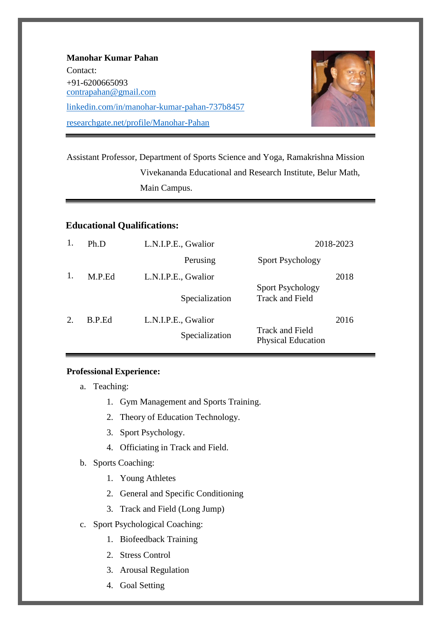| <b>Manohar Kumar Pahan</b>                   |
|----------------------------------------------|
| Contact:                                     |
| $+91 - 6200665093$<br>contrapahan@gmail.com  |
| linkedin.com/in/manohar-kumar-pahan-737b8457 |
| researchgate.net/profile/Manohar-Pahan       |



Assistant Professor, Department of Sports Science and Yoga, Ramakrishna Mission Vivekananda Educational and Research Institute, Belur Math, Main Campus.

# **Educational Qualifications:**

| 1. | Ph.D   | L.N.I.P.E., Gwalior | 2018-2023                                           |      |
|----|--------|---------------------|-----------------------------------------------------|------|
|    |        | Perusing            | <b>Sport Psychology</b>                             |      |
| 1. | M.P.Ed | L.N.I.P.E., Gwalior |                                                     | 2018 |
|    |        | Specialization      | <b>Sport Psychology</b><br><b>Track and Field</b>   |      |
| 2. | B.P.Ed | L.N.I.P.E., Gwalior |                                                     | 2016 |
|    |        | Specialization      | <b>Track and Field</b><br><b>Physical Education</b> |      |

### **Professional Experience:**

- a. Teaching:
	- 1. Gym Management and Sports Training.
	- 2. Theory of Education Technology.
	- 3. Sport Psychology.
	- 4. Officiating in Track and Field.
- b. Sports Coaching:
	- 1. Young Athletes
	- 2. General and Specific Conditioning
	- 3. Track and Field (Long Jump)
- c. Sport Psychological Coaching:
	- 1. Biofeedback Training
	- 2. Stress Control
	- 3. Arousal Regulation
	- 4. Goal Setting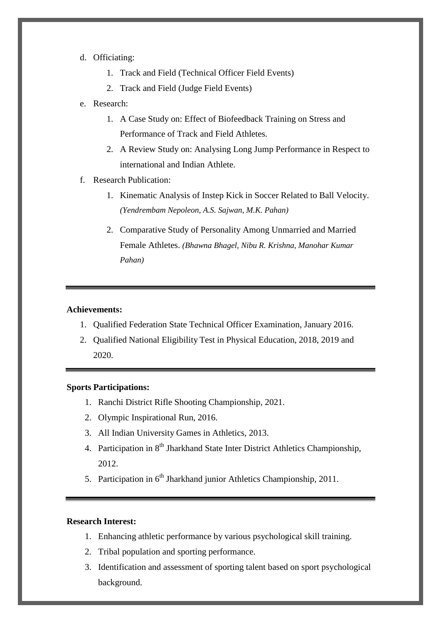#### d. Officiating:

- 1. Track and Field (Technical Officer Field Events)
- 2. Track and Field (Judge Field Events)

### e. Research:

- 1. A Case Study on: Effect of Biofeedback Training on Stress and Performance of Track and Field Athletes.
- 2. A Review Study on: Analysing Long Jump Performance in Respect to international and Indian Athlete.
- f. Research Publication:
	- 1. Kinematic Analysis of Instep Kick in Soccer Related to Ball Velocity. *(Yendrembam Nepoleon, A.S. Sajwan, M.K. Pahan)*
	- 2. Comparative Study of Personality Among Unmarried and Married Female Athletes. *(Bhawna Bhagel, Nibu R. Krishna, Manohar Kumar Pahan)*

### **Achievements:**

- 1. Qualified Federation State Technical Officer Examination, January 2016.
- 2. Qualified National Eligibility Test in Physical Education, 2018, 2019 and 2020.

# **Sports Participations:**

- 1. Ranchi District Rifle Shooting Championship, 2021.
- 2. Olympic Inspirational Run, 2016.
- 3. All Indian University Games in Athletics, 2013.
- 4. Participation in  $8<sup>th</sup>$  Jharkhand State Inter District Athletics Championship, 2012.
- 5. Participation in 6<sup>th</sup> Jharkhand junior Athletics Championship, 2011.

#### **Research Interest:**

- 1. Enhancing athletic performance by various psychological skill training.
- 2. Tribal population and sporting performance.
- 3. Identification and assessment of sporting talent based on sport psychological background.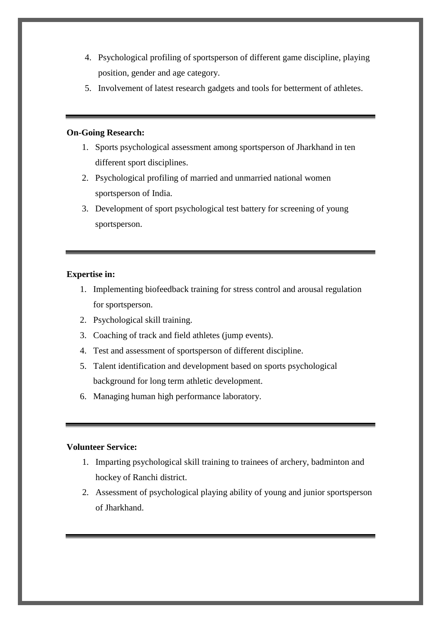- 4. Psychological profiling of sportsperson of different game discipline, playing position, gender and age category.
- 5. Involvement of latest research gadgets and tools for betterment of athletes.

### **On-Going Research:**

- 1. Sports psychological assessment among sportsperson of Jharkhand in ten different sport disciplines.
- 2. Psychological profiling of married and unmarried national women sportsperson of India.
- 3. Development of sport psychological test battery for screening of young sportsperson.

# **Expertise in:**

- 1. Implementing biofeedback training for stress control and arousal regulation for sportsperson.
- 2. Psychological skill training.
- 3. Coaching of track and field athletes (jump events).
- 4. Test and assessment of sportsperson of different discipline.
- 5. Talent identification and development based on sports psychological background for long term athletic development.
- 6. Managing human high performance laboratory.

### **Volunteer Service:**

- 1. Imparting psychological skill training to trainees of archery, badminton and hockey of Ranchi district.
- 2. Assessment of psychological playing ability of young and junior sportsperson of Jharkhand.